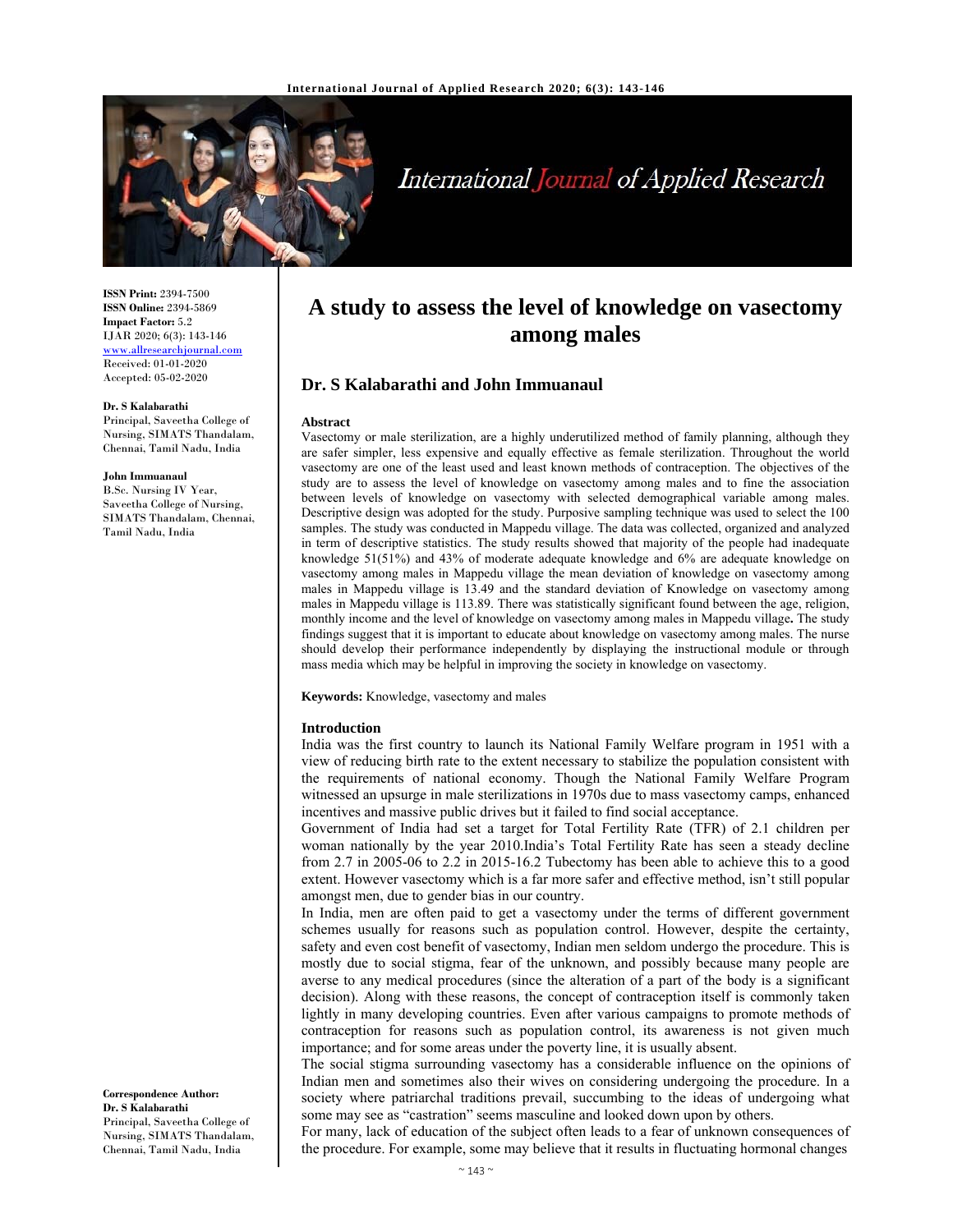

# International Journal of Applied Research

**ISSN Print:** 2394-7500 **ISSN Online:** 2394-5869 **Impact Factor:** 5.2 IJAR 2020; 6(3): 143-146 www.allresearchjournal.com Received: 01-01-2020 Accepted: 05-02-2020

#### **Dr. S Kalabarathi**

Principal, Saveetha College of Nursing, SIMATS Thandalam, Chennai, Tamil Nadu, India

**John Immuanaul** 

B.Sc. Nursing IV Year, Saveetha College of Nursing, SIMATS Thandalam, Chennai, Tamil Nadu, India

#### **Correspondence Author: Dr. S Kalabarathi**  Principal, Saveetha College of Nursing, SIMATS Thandalam, Chennai, Tamil Nadu, India

# **A study to assess the level of knowledge on vasectomy among males**

# **Dr. S Kalabarathi and John Immuanaul**

#### **Abstract**

Vasectomy or male sterilization, are a highly underutilized method of family planning, although they are safer simpler, less expensive and equally effective as female sterilization. Throughout the world vasectomy are one of the least used and least known methods of contraception. The objectives of the study are to assess the level of knowledge on vasectomy among males and to fine the association between levels of knowledge on vasectomy with selected demographical variable among males. Descriptive design was adopted for the study. Purposive sampling technique was used to select the 100 samples. The study was conducted in Mappedu village. The data was collected, organized and analyzed in term of descriptive statistics. The study results showed that majority of the people had inadequate knowledge 51(51%) and 43% of moderate adequate knowledge and 6% are adequate knowledge on vasectomy among males in Mappedu village the mean deviation of knowledge on vasectomy among males in Mappedu village is 13.49 and the standard deviation of Knowledge on vasectomy among males in Mappedu village is 113.89. There was statistically significant found between the age, religion, monthly income and the level of knowledge on vasectomy among males in Mappedu village**.** The study findings suggest that it is important to educate about knowledge on vasectomy among males. The nurse should develop their performance independently by displaying the instructional module or through mass media which may be helpful in improving the society in knowledge on vasectomy.

**Keywords:** Knowledge, vasectomy and males

#### **Introduction**

India was the first country to launch its National Family Welfare program in 1951 with a view of reducing birth rate to the extent necessary to stabilize the population consistent with the requirements of national economy. Though the National Family Welfare Program witnessed an upsurge in male sterilizations in 1970s due to mass vasectomy camps, enhanced incentives and massive public drives but it failed to find social acceptance.

Government of India had set a target for Total Fertility Rate (TFR) of 2.1 children per woman nationally by the year 2010.India's Total Fertility Rate has seen a steady decline from 2.7 in 2005-06 to 2.2 in 2015-16.2 Tubectomy has been able to achieve this to a good extent. However vasectomy which is a far more safer and effective method, isn't still popular amongst men, due to gender bias in our country.

In India, men are often paid to get a vasectomy under the terms of different government schemes usually for reasons such as population control. However, despite the certainty, safety and even cost benefit of vasectomy, Indian men seldom undergo the procedure. This is mostly due to social stigma, fear of the unknown, and possibly because many people are averse to any medical procedures (since the alteration of a part of the body is a significant decision). Along with these reasons, the concept of contraception itself is commonly taken lightly in many developing countries. Even after various campaigns to promote methods of contraception for reasons such as population control, its awareness is not given much importance; and for some areas under the poverty line, it is usually absent.

The social stigma surrounding vasectomy has a considerable influence on the opinions of Indian men and sometimes also their wives on considering undergoing the procedure. In a society where patriarchal traditions prevail, succumbing to the ideas of undergoing what some may see as "castration" seems masculine and looked down upon by others.

For many, lack of education of the subject often leads to a fear of unknown consequences of the procedure. For example, some may believe that it results in fluctuating hormonal changes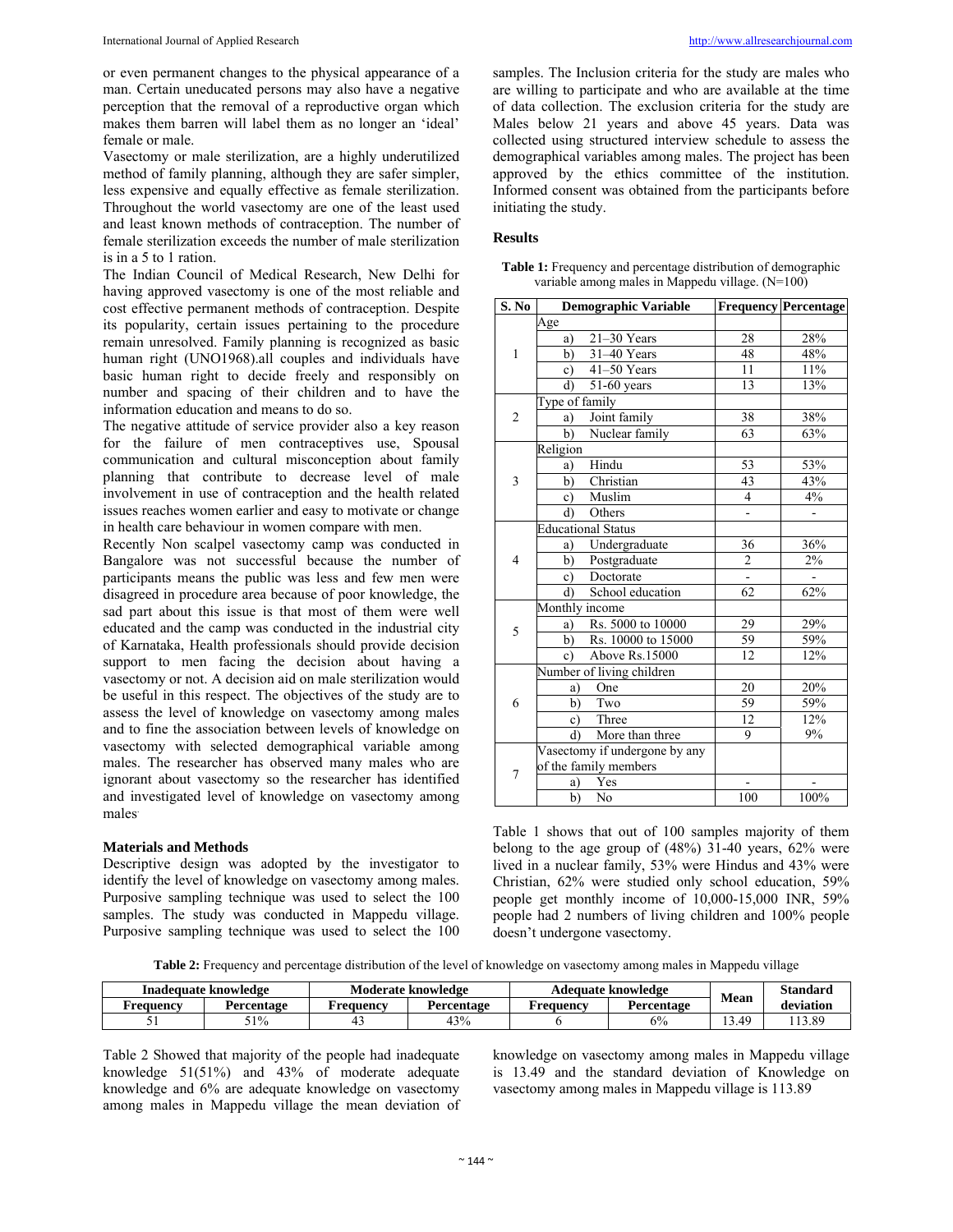or even permanent changes to the physical appearance of a man. Certain uneducated persons may also have a negative perception that the removal of a reproductive organ which makes them barren will label them as no longer an 'ideal' female or male.

Vasectomy or male sterilization, are a highly underutilized method of family planning, although they are safer simpler, less expensive and equally effective as female sterilization. Throughout the world vasectomy are one of the least used and least known methods of contraception. The number of female sterilization exceeds the number of male sterilization is in a 5 to 1 ration.

The Indian Council of Medical Research, New Delhi for having approved vasectomy is one of the most reliable and cost effective permanent methods of contraception. Despite its popularity, certain issues pertaining to the procedure remain unresolved. Family planning is recognized as basic human right (UNO1968).all couples and individuals have basic human right to decide freely and responsibly on number and spacing of their children and to have the information education and means to do so.

The negative attitude of service provider also a key reason for the failure of men contraceptives use, Spousal communication and cultural misconception about family planning that contribute to decrease level of male involvement in use of contraception and the health related issues reaches women earlier and easy to motivate or change in health care behaviour in women compare with men.

Recently Non scalpel vasectomy camp was conducted in Bangalore was not successful because the number of participants means the public was less and few men were disagreed in procedure area because of poor knowledge, the sad part about this issue is that most of them were well educated and the camp was conducted in the industrial city of Karnataka, Health professionals should provide decision support to men facing the decision about having a vasectomy or not. A decision aid on male sterilization would be useful in this respect. The objectives of the study are to assess the level of knowledge on vasectomy among males and to fine the association between levels of knowledge on vasectomy with selected demographical variable among males. The researcher has observed many males who are ignorant about vasectomy so the researcher has identified and investigated level of knowledge on vasectomy among males.

#### **Materials and Methods**

Descriptive design was adopted by the investigator to identify the level of knowledge on vasectomy among males. Purposive sampling technique was used to select the 100 samples. The study was conducted in Mappedu village. Purposive sampling technique was used to select the 100 samples. The Inclusion criteria for the study are males who are willing to participate and who are available at the time of data collection. The exclusion criteria for the study are Males below 21 years and above 45 years. Data was collected using structured interview schedule to assess the demographical variables among males. The project has been approved by the ethics committee of the institution. Informed consent was obtained from the participants before initiating the study.

#### **Results**

| S. No          | <b>Demographic Variable</b>               |                         | <b>Frequency Percentage</b>  |
|----------------|-------------------------------------------|-------------------------|------------------------------|
| $\mathbf{1}$   | Age                                       |                         |                              |
|                | $21-30$ Years<br>a)                       | 28                      | 28%                          |
|                | b)<br>$31-40$ Years                       | 48                      | 48%                          |
|                | 41-50 Years<br>$\circ$ )                  | 11                      | 11%                          |
|                | $\overline{51}$ -60 years<br>$\mathbf{d}$ | 13                      | $13\%$                       |
|                | Type of family                            |                         |                              |
| $\overline{2}$ | Joint family<br>a)                        | 38                      | 38%                          |
|                | Nuclear family<br>$\bar{b}$ )             | 63                      | 63%                          |
|                | Religion                                  |                         |                              |
|                | Hindu<br>a)                               | 53                      | 53%                          |
| 3              | Christian<br>b)                           | 43                      | 43%                          |
|                | Muslim<br>$\mathbf{c})$                   | $\overline{4}$          | 4%                           |
|                | Others<br>d)                              | $\blacksquare$          | $\qquad \qquad \blacksquare$ |
| 4              | <b>Educational Status</b>                 |                         |                              |
|                | Undergraduate<br>a)                       | 36                      | 36%                          |
|                | b)<br>Postgraduate                        | $\overline{\mathbf{c}}$ | 2%                           |
|                | Doctorate<br>$\circ$ )                    |                         |                              |
|                | School education<br>d)                    | 62                      | 62%                          |
| 5              | Monthly income                            |                         |                              |
|                | Rs. 5000 to 10000<br>a)                   | 29                      | 29%                          |
|                | Rs. 10000 to 15000<br>b)                  | 59                      | 59%                          |
|                | Above Rs.15000<br>$\mathbf{c}$            | 12                      | 12%                          |
|                | Number of living children                 |                         |                              |
|                | One<br>a)                                 | 20                      | $\frac{20\%}{20\%}$          |
| 6              | Two<br>b)                                 | 59                      | 59%                          |
|                | Three<br>$\mathbf{c})$                    | 12                      | 12%                          |
|                | More than three<br>d)                     | 9                       | 9%                           |
| 7              | Vasectomy if undergone by any             |                         |                              |
|                | of the family members                     |                         |                              |
|                | Yes<br>a)                                 |                         |                              |
|                | b)<br>N <sub>0</sub>                      | 100                     | 100%                         |

**Table 1:** Frequency and percentage distribution of demographic variable among males in Mappedu village. (N=100)

Table 1 shows that out of 100 samples majority of them belong to the age group of (48%) 31-40 years, 62% were lived in a nuclear family, 53% were Hindus and 43% were Christian, 62% were studied only school education, 59% people get monthly income of 10,000-15,000 INR, 59% people had 2 numbers of living children and 100% people doesn't undergone vasectomy.

**Table 2:** Frequency and percentage distribution of the level of knowledge on vasectomy among males in Mappedu village

| Inadequate knowledge |            | Moderate knowledge |            | Adequate knowledge |            | <b>Mean</b>    | Standard  |
|----------------------|------------|--------------------|------------|--------------------|------------|----------------|-----------|
| Frequency            | Percentage | Frequency          | Percentage | Frequency          | Percentage |                | deviation |
|                      | 51%        |                    | 43%        |                    | 6%         | $.3.4^{\circ}$ | 13.89     |

Table 2 Showed that majority of the people had inadequate knowledge 51(51%) and 43% of moderate adequate knowledge and 6% are adequate knowledge on vasectomy among males in Mappedu village the mean deviation of knowledge on vasectomy among males in Mappedu village is 13.49 and the standard deviation of Knowledge on vasectomy among males in Mappedu village is 113.89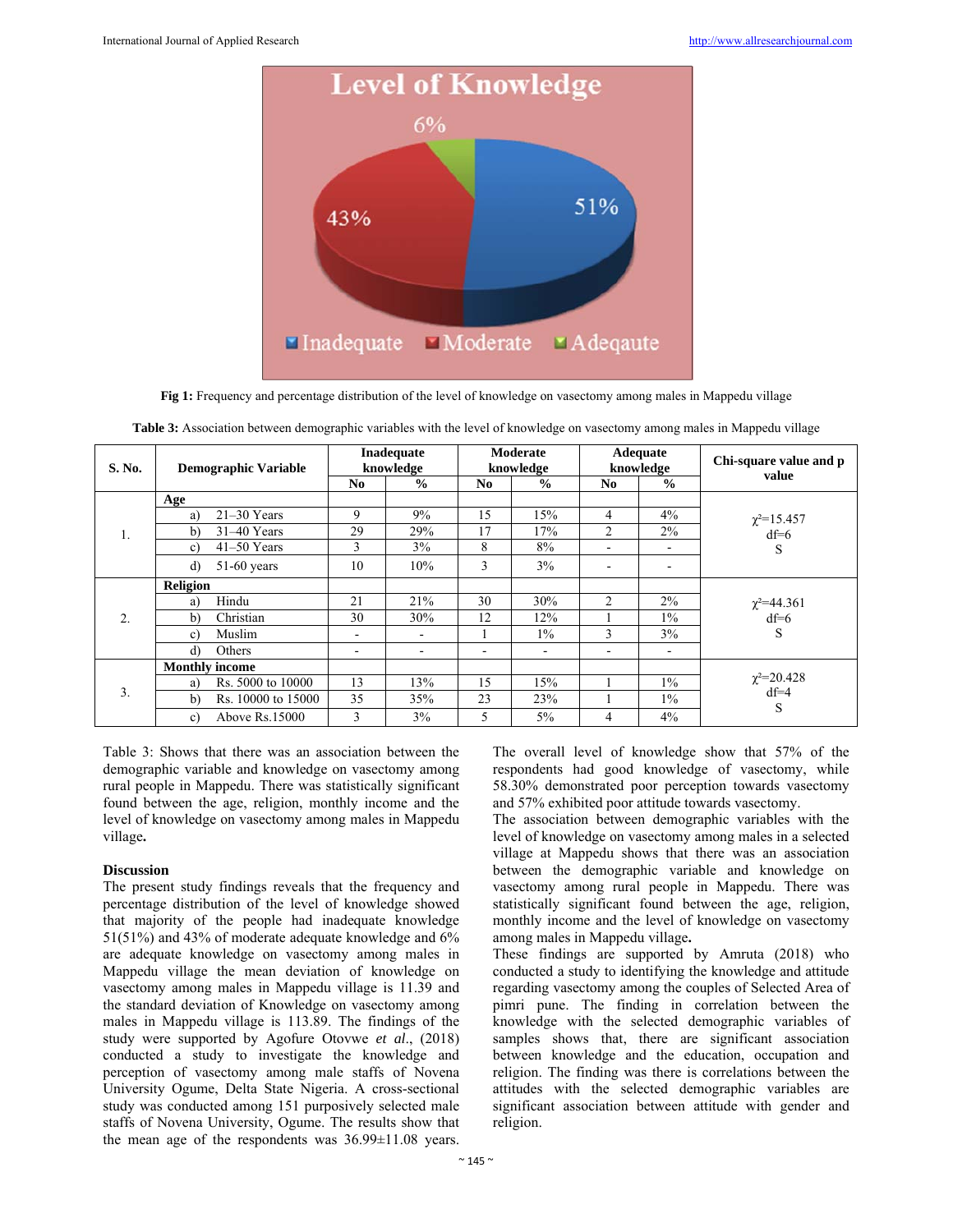

**Fig 1:** Frequency and percentage distribution of the level of knowledge on vasectomy among males in Mappedu village

| S. No. | <b>Demographic Variable</b>        | <b>Inadequate</b><br>knowledge |               | Moderate<br>knowledge    |               | Adequate<br>knowledge    |                          | Chi-square value and p      |  |
|--------|------------------------------------|--------------------------------|---------------|--------------------------|---------------|--------------------------|--------------------------|-----------------------------|--|
|        |                                    | N <sub>0</sub>                 | $\frac{0}{0}$ | N <sub>0</sub>           | $\frac{6}{6}$ | No.                      | $\frac{6}{6}$            | value                       |  |
| 1.     | Age                                |                                |               |                          |               |                          |                          |                             |  |
|        | $21-30$ Years<br>a)                | 9                              | 9%            | 15                       | 15%           | 4                        | $4\%$                    | $\chi^2 = 15.457$           |  |
|        | $31-40$ Years<br>b)                | 29                             | 29%           | 17                       | 17%           | $\overline{c}$           | $2\%$                    | $df=6$                      |  |
|        | $41-50$ Years<br>c)                | 3                              | 3%            | 8                        | 8%            | $\overline{\phantom{a}}$ | $\overline{\phantom{a}}$ | S                           |  |
|        | $51-60$ years<br>d)                | 10                             | 10%           | 3                        | 3%            | $\overline{\phantom{0}}$ |                          |                             |  |
| 2.     | <b>Religion</b>                    |                                |               |                          |               |                          |                          |                             |  |
|        | Hindu<br>a)                        | 21                             | 21%           | 30                       | 30%           | $\overline{2}$           | $2\%$                    | $\chi^2 = 44.361$           |  |
|        | Christian<br>b)                    | 30                             | 30%           | 12                       | 12%           |                          | $1\%$                    | $df=6$                      |  |
|        | Muslim<br>c)                       | $\overline{\phantom{0}}$       | ۰             |                          | $1\%$         | 3                        | 3%                       | S                           |  |
|        | Others<br>d)                       | $\overline{\phantom{a}}$       | -             | $\overline{\phantom{a}}$ | -             | $\overline{\phantom{a}}$ | $\overline{\phantom{a}}$ |                             |  |
| 3.     | <b>Monthly income</b>              |                                |               |                          |               |                          |                          |                             |  |
|        | Rs. 5000 to 10000<br>a)            | 13                             | 13%           | 15                       | 15%           |                          | $1\%$                    | $\chi^2 = 20.428$<br>$df=4$ |  |
|        | Rs. 10000 to 15000<br>$\mathbf{b}$ | 35                             | 35%           | 23                       | 23%           |                          | $1\%$                    | S                           |  |
|        | Above Rs.15000<br>c)               | $\mathbf{3}$                   | 3%            | 5                        | $5\%$         | 4                        | $4\%$                    |                             |  |

**Table 3:** Association between demographic variables with the level of knowledge on vasectomy among males in Mappedu village

Table 3: Shows that there was an association between the demographic variable and knowledge on vasectomy among rural people in Mappedu. There was statistically significant found between the age, religion, monthly income and the level of knowledge on vasectomy among males in Mappedu village**.** 

### **Discussion**

The present study findings reveals that the frequency and percentage distribution of the level of knowledge showed that majority of the people had inadequate knowledge 51(51%) and 43% of moderate adequate knowledge and 6% are adequate knowledge on vasectomy among males in Mappedu village the mean deviation of knowledge on vasectomy among males in Mappedu village is 11.39 and the standard deviation of Knowledge on vasectomy among males in Mappedu village is 113.89. The findings of the study were supported by Agofure Otovwe *et al*., (2018) conducted a study to investigate the knowledge and perception of vasectomy among male staffs of Novena University Ogume, Delta State Nigeria. A cross-sectional study was conducted among 151 purposively selected male staffs of Novena University, Ogume. The results show that the mean age of the respondents was 36.99±11.08 years.

The overall level of knowledge show that 57% of the respondents had good knowledge of vasectomy, while 58.30% demonstrated poor perception towards vasectomy and 57% exhibited poor attitude towards vasectomy.

The association between demographic variables with the level of knowledge on vasectomy among males in a selected village at Mappedu shows that there was an association between the demographic variable and knowledge on vasectomy among rural people in Mappedu. There was statistically significant found between the age, religion, monthly income and the level of knowledge on vasectomy among males in Mappedu village**.** 

These findings are supported by Amruta (2018) who conducted a study to identifying the knowledge and attitude regarding vasectomy among the couples of Selected Area of pimri pune. The finding in correlation between the knowledge with the selected demographic variables of samples shows that, there are significant association between knowledge and the education, occupation and religion. The finding was there is correlations between the attitudes with the selected demographic variables are significant association between attitude with gender and religion.